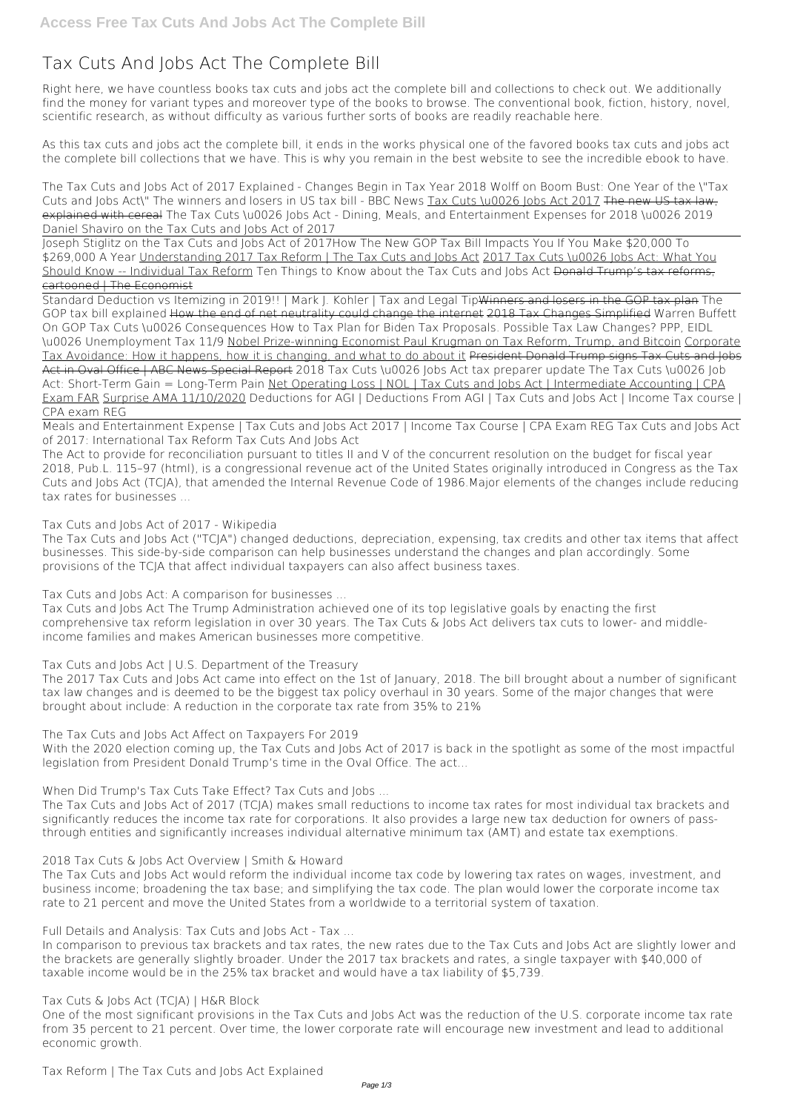## **Tax Cuts And Jobs Act The Complete Bill**

Right here, we have countless books **tax cuts and jobs act the complete bill** and collections to check out. We additionally find the money for variant types and moreover type of the books to browse. The conventional book, fiction, history, novel, scientific research, as without difficulty as various further sorts of books are readily reachable here.

As this tax cuts and jobs act the complete bill, it ends in the works physical one of the favored books tax cuts and jobs act the complete bill collections that we have. This is why you remain in the best website to see the incredible ebook to have.

*The Tax Cuts and Jobs Act of 2017 Explained - Changes Begin in Tax Year 2018* **Wolff on Boom Bust: One Year of the \"Tax Cuts and Jobs Act\"** *The winners and losers in US tax bill - BBC News* Tax Cuts \u0026 Jobs Act 2017 The new US tax law, explained with cereal *The Tax Cuts \u0026 Jobs Act - Dining, Meals, and Entertainment Expenses for 2018 \u0026 2019 Daniel Shaviro on the Tax Cuts and Jobs Act of 2017*

Joseph Stiglitz on the Tax Cuts and Jobs Act of 2017*How The New GOP Tax Bill Impacts You If You Make \$20,000 To \$269,000 A Year* Understanding 2017 Tax Reform | The Tax Cuts and Jobs Act 2017 Tax Cuts \u0026 Jobs Act: What You Should Know -- Individual Tax Reform *Ten Things to Know about the Tax Cuts and Jobs Act* Donald Trump's tax reforms, cartooned | The Economist

Standard Deduction vs Itemizing in 2019!! | Mark J. Kohler | Tax and Legal TipWinners and losers in the GOP tax plan *The GOP tax bill explained* How the end of net neutrality could change the internet 2018 Tax Changes Simplified **Warren Buffett On GOP Tax Cuts \u0026 Consequences How to Tax Plan for Biden Tax Proposals. Possible Tax Law Changes? PPP, EIDL \u0026 Unemployment Tax 11/9** Nobel Prize-winning Economist Paul Krugman on Tax Reform, Trump, and Bitcoin Corporate Tax Avoidance: How it happens, how it is changing, and what to do about it President Donald Trump signs Tax Cuts and Jobs Act in Oval Office | ABC News Special Report **2018 Tax Cuts \u0026 Jobs Act tax preparer update** *The Tax Cuts \u0026 Job Act: Short-Term Gain = Long-Term Pain* Net Operating Loss | NOL | Tax Cuts and Jobs Act | Intermediate Accounting | CPA Exam FAR Surprise AMA 11/10/2020 *Deductions for AGI | Deductions From AGI | Tax Cuts and Jobs Act | Income Tax course | CPA exam REG*

Meals and Entertainment Expense | Tax Cuts and Jobs Act 2017 | Income Tax Course | CPA Exam REG Tax Cuts and Jobs Act of 2017: International Tax Reform *Tax Cuts And Jobs Act*

The Act to provide for reconciliation pursuant to titles II and V of the concurrent resolution on the budget for fiscal year 2018, Pub.L. 115–97 (html), is a congressional revenue act of the United States originally introduced in Congress as the Tax Cuts and Jobs Act (TCJA), that amended the Internal Revenue Code of 1986.Major elements of the changes include reducing tax rates for businesses ...

## *Tax Cuts and Jobs Act of 2017 - Wikipedia*

The Tax Cuts and Jobs Act ("TCJA") changed deductions, depreciation, expensing, tax credits and other tax items that affect businesses. This side-by-side comparison can help businesses understand the changes and plan accordingly. Some provisions of the TCJA that affect individual taxpayers can also affect business taxes.

*Tax Cuts and Jobs Act: A comparison for businesses ...*

Tax Cuts and Jobs Act The Trump Administration achieved one of its top legislative goals by enacting the first comprehensive tax reform legislation in over 30 years. The Tax Cuts & Jobs Act delivers tax cuts to lower- and middleincome families and makes American businesses more competitive.

*Tax Cuts and Jobs Act | U.S. Department of the Treasury*

The 2017 Tax Cuts and Jobs Act came into effect on the 1st of January, 2018. The bill brought about a number of significant tax law changes and is deemed to be the biggest tax policy overhaul in 30 years. Some of the major changes that were brought about include: A reduction in the corporate tax rate from 35% to 21%

*The Tax Cuts and Jobs Act Affect on Taxpayers For 2019*

With the 2020 election coming up, the Tax Cuts and Jobs Act of 2017 is back in the spotlight as some of the most impactful legislation from President Donald Trump's time in the Oval Office. The act...

*When Did Trump's Tax Cuts Take Effect? Tax Cuts and Jobs ...*

The Tax Cuts and Jobs Act of 2017 (TCJA) makes small reductions to income tax rates for most individual tax brackets and significantly reduces the income tax rate for corporations. It also provides a large new tax deduction for owners of passthrough entities and significantly increases individual alternative minimum tax (AMT) and estate tax exemptions.

## *2018 Tax Cuts & Jobs Act Overview | Smith & Howard*

The Tax Cuts and Jobs Act would reform the individual income tax code by lowering tax rates on wages, investment, and business income; broadening the tax base; and simplifying the tax code. The plan would lower the corporate income tax rate to 21 percent and move the United States from a worldwide to a territorial system of taxation.

*Full Details and Analysis: Tax Cuts and Jobs Act - Tax ...*

In comparison to previous tax brackets and tax rates, the new rates due to the Tax Cuts and Jobs Act are slightly lower and the brackets are generally slightly broader. Under the 2017 tax brackets and rates, a single taxpayer with \$40,000 of taxable income would be in the 25% tax bracket and would have a tax liability of \$5,739.

*Tax Cuts & Jobs Act (TCJA) | H&R Block*

One of the most significant provisions in the Tax Cuts and Jobs Act was the reduction of the U.S. corporate income tax rate from 35 percent to 21 percent. Over time, the lower corporate rate will encourage new investment and lead to additional economic growth.

*Tax Reform | The Tax Cuts and Jobs Act Explained*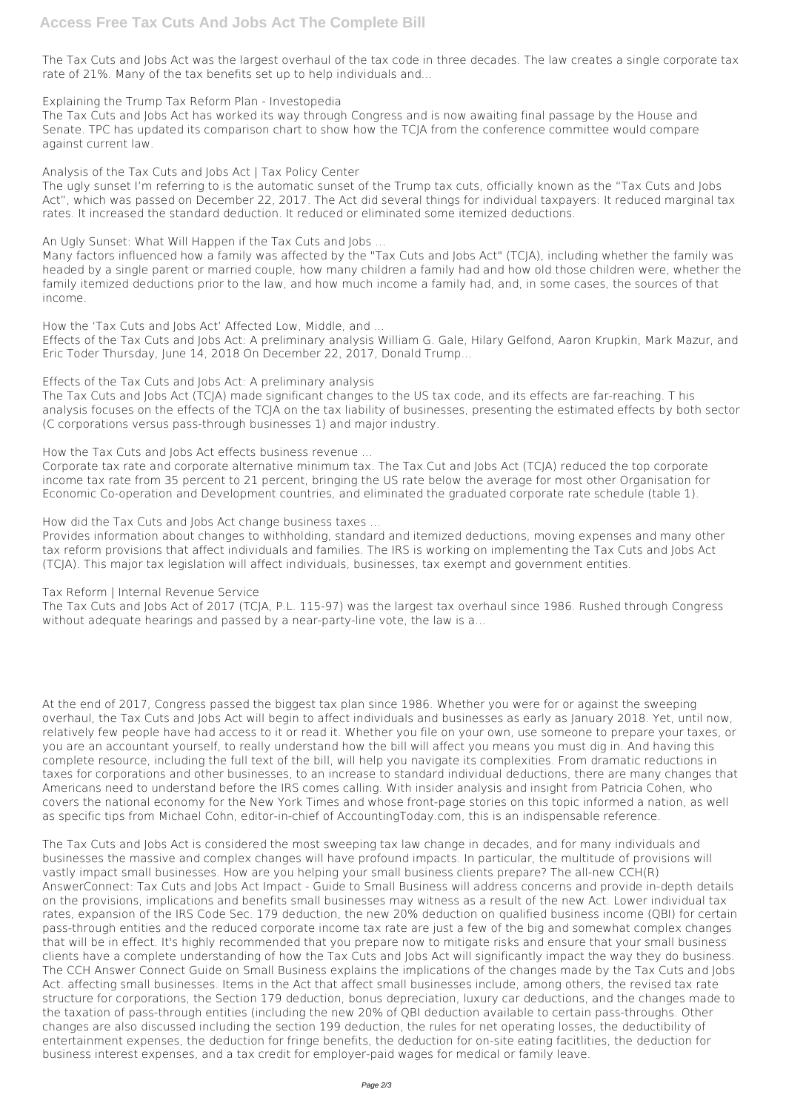The Tax Cuts and Jobs Act was the largest overhaul of the tax code in three decades. The law creates a single corporate tax rate of 21%. Many of the tax benefits set up to help individuals and...

*Explaining the Trump Tax Reform Plan - Investopedia*

The Tax Cuts and Jobs Act has worked its way through Congress and is now awaiting final passage by the House and Senate. TPC has updated its comparison chart to show how the TCJA from the conference committee would compare against current law.

*Analysis of the Tax Cuts and Jobs Act | Tax Policy Center*

The ugly sunset I'm referring to is the automatic sunset of the Trump tax cuts, officially known as the "Tax Cuts and Jobs Act", which was passed on December 22, 2017. The Act did several things for individual taxpayers: It reduced marginal tax rates. It increased the standard deduction. It reduced or eliminated some itemized deductions.

*An Ugly Sunset: What Will Happen if the Tax Cuts and Jobs ...*

Many factors influenced how a family was affected by the "Tax Cuts and Jobs Act" (TCJA), including whether the family was headed by a single parent or married couple, how many children a family had and how old those children were, whether the family itemized deductions prior to the law, and how much income a family had, and, in some cases, the sources of that income.

*How the 'Tax Cuts and Jobs Act' Affected Low, Middle, and ...*

The Tax Cuts and Jobs Act of 2017 (TCJA, P.L. 115-97) was the largest tax overhaul since 1986. Rushed through Congress without adequate hearings and passed by a near-party-line vote, the law is a...

Effects of the Tax Cuts and Jobs Act: A preliminary analysis William G. Gale, Hilary Gelfond, Aaron Krupkin, Mark Mazur, and Eric Toder Thursday, June 14, 2018 On December 22, 2017, Donald Trump...

*Effects of the Tax Cuts and Jobs Act: A preliminary analysis*

The Tax Cuts and Jobs Act (TCJA) made significant changes to the US tax code, and its effects are far-reaching. T his analysis focuses on the effects of the TCJA on the tax liability of businesses, presenting the estimated effects by both sector (C corporations versus pass-through businesses 1) and major industry.

*How the Tax Cuts and Jobs Act effects business revenue ...*

Corporate tax rate and corporate alternative minimum tax. The Tax Cut and Jobs Act (TCJA) reduced the top corporate income tax rate from 35 percent to 21 percent, bringing the US rate below the average for most other Organisation for Economic Co-operation and Development countries, and eliminated the graduated corporate rate schedule (table 1).

*How did the Tax Cuts and Jobs Act change business taxes ...*

Provides information about changes to withholding, standard and itemized deductions, moving expenses and many other tax reform provisions that affect individuals and families. The IRS is working on implementing the Tax Cuts and Jobs Act (TCJA). This major tax legislation will affect individuals, businesses, tax exempt and government entities.

*Tax Reform | Internal Revenue Service*

At the end of 2017, Congress passed the biggest tax plan since 1986. Whether you were for or against the sweeping overhaul, the Tax Cuts and Jobs Act will begin to affect individuals and businesses as early as January 2018. Yet, until now, relatively few people have had access to it or read it. Whether you file on your own, use someone to prepare your taxes, or you are an accountant yourself, to really understand how the bill will affect you means you must dig in. And having this complete resource, including the full text of the bill, will help you navigate its complexities. From dramatic reductions in taxes for corporations and other businesses, to an increase to standard individual deductions, there are many changes that Americans need to understand before the IRS comes calling. With insider analysis and insight from Patricia Cohen, who covers the national economy for the New York Times and whose front-page stories on this topic informed a nation, as well as specific tips from Michael Cohn, editor-in-chief of AccountingToday.com, this is an indispensable reference.

The Tax Cuts and Jobs Act is considered the most sweeping tax law change in decades, and for many individuals and businesses the massive and complex changes will have profound impacts. In particular, the multitude of provisions will vastly impact small businesses. How are you helping your small business clients prepare? The all-new CCH(R) AnswerConnect: Tax Cuts and Jobs Act Impact - Guide to Small Business will address concerns and provide in-depth details on the provisions, implications and benefits small businesses may witness as a result of the new Act. Lower individual tax rates, expansion of the IRS Code Sec. 179 deduction, the new 20% deduction on qualified business income (QBI) for certain pass-through entities and the reduced corporate income tax rate are just a few of the big and somewhat complex changes that will be in effect. It's highly recommended that you prepare now to mitigate risks and ensure that your small business clients have a complete understanding of how the Tax Cuts and Jobs Act will significantly impact the way they do business. The CCH Answer Connect Guide on Small Business explains the implications of the changes made by the Tax Cuts and Jobs Act. affecting small businesses. Items in the Act that affect small businesses include, among others, the revised tax rate structure for corporations, the Section 179 deduction, bonus depreciation, luxury car deductions, and the changes made to the taxation of pass-through entities (including the new 20% of QBI deduction available to certain pass-throughs. Other changes are also discussed including the section 199 deduction, the rules for net operating losses, the deductibility of entertainment expenses, the deduction for fringe benefits, the deduction for on-site eating facitlities, the deduction for business interest expenses, and a tax credit for employer-paid wages for medical or family leave.